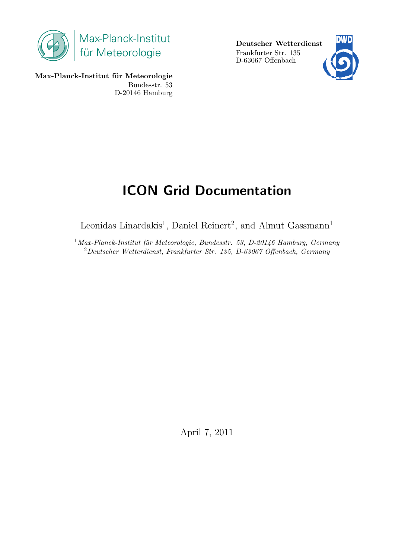

Deutscher Wetterdienst Frankfurter Str. 135 D-63067 Offenbach



Max-Planck-Institut für Meteorologie Bundesstr. 53 D-20146 Hamburg

# ICON Grid Documentation

Leonidas Linardakis<sup>1</sup>, Daniel Reinert<sup>2</sup>, and Almut Gassmann<sup>1</sup>

 $1$ Max-Planck-Institut für Meteorologie, Bundesstr. 53, D-20146 Hamburg, Germany <sup>2</sup>Deutscher Wetterdienst, Frankfurter Str. 135, D-63067 Offenbach, Germany

April 7, 2011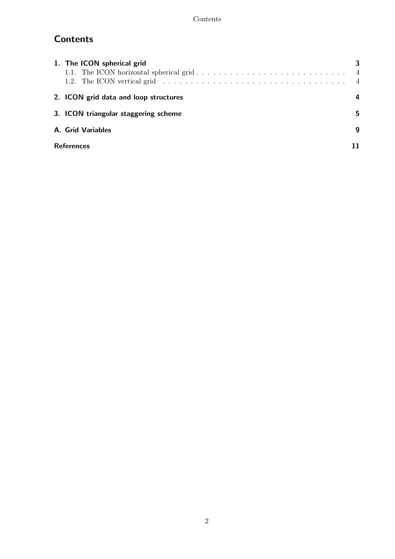## **Contents**

| 1. The ICON spherical grid<br>1.2. The ICON vertical grid $\dots \dots \dots \dots \dots \dots \dots \dots \dots \dots \dots \dots \dots \dots$ | 3<br>$\overline{4}$ |
|-------------------------------------------------------------------------------------------------------------------------------------------------|---------------------|
| 2. ICON grid data and loop structures                                                                                                           |                     |
| 3. ICON triangular staggering scheme                                                                                                            | 5.                  |
| A. Grid Variables                                                                                                                               | g                   |
| <b>References</b>                                                                                                                               |                     |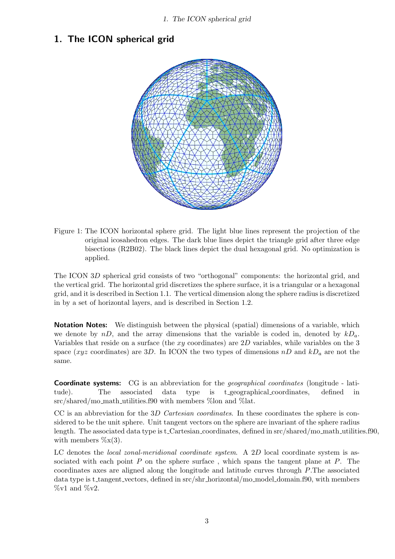1. The ICON spherical grid

#### 1. The ICON spherical grid



Figure 1: The ICON horizontal sphere grid. The light blue lines represent the projection of the original icosahedron edges. The dark blue lines depict the triangle grid after three edge bisections (R2B02). The black lines depict the dual hexagonal grid. No optimization is applied.

The ICON 3D spherical grid consists of two "orthogonal" components: the horizontal grid, and the vertical grid. The horizontal grid discretizes the sphere surface, it is a triangular or a hexagonal grid, and it is described in Section 1.1. The vertical dimension along the sphere radius is discretized in by a set of horizontal layers, and is described in Section 1.2.

**Notation Notes:** We distinguish between the physical (spatial) dimensions of a variable, which we denote by  $nD$ , and the array dimensions that the variable is coded in, denoted by  $kD<sub>a</sub>$ . Variables that reside on a surface (the  $xy$  coordinates) are  $2D$  variables, while variables on the 3 space (xyz coordinates) are 3D. In ICON the two types of dimensions  $nD$  and  $kD_a$  are not the same.

**Coordinate systems:** CG is an abbreviation for the *geographical coordinates* (longitude - latitude). The associated data type is t geographical coordinates, defined in src/shared/mo\_math\_utilities.f90 with members %lon and %lat.

CC is an abbreviation for the 3D Cartesian coordinates. In these coordinates the sphere is considered to be the unit sphere. Unit tangent vectors on the sphere are invariant of the sphere radius length. The associated data type is t\_Cartesian\_coordinates, defined in src/shared/mo\_math\_utilities.f90, with members  $\%x(3)$ .

LC denotes the *local zonal-meridional coordinate system*. A 2D local coordinate system is associated with each point  $P$  on the sphere surface, which spans the tangent plane at  $P$ . The coordinates axes are aligned along the longitude and latitude curves through P.The associated data type is t\_tangent\_vectors, defined in src/shr\_horizontal/mo\_model\_domain.f90, with members  $\%$ v1 and  $\%$ v2.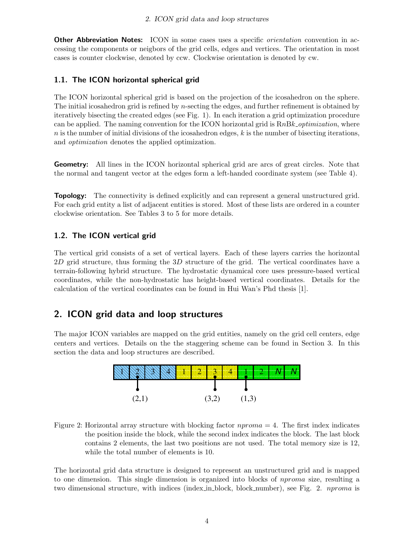Other Abbreviation Notes: ICON in some cases uses a specific *orientation* convention in accessing the components or neigbors of the grid cells, edges and vertices. The orientation in most cases is counter clockwise, denoted by ccw. Clockwise orientation is denoted by cw.

#### 1.1. The ICON horizontal spherical grid

The ICON horizontal spherical grid is based on the projection of the icosahedron on the sphere. The initial icosahedron grid is refined by *n*-secting the edges, and further refinement is obtained by iteratively bisecting the created edges (see Fig. 1). In each iteration a grid optimization procedure can be applied. The naming convention for the ICON horizontal grid is  $RnBk$ -optimization, where  $n$  is the number of initial divisions of the icosahedron edges,  $k$  is the number of bisecting iterations, and optimization denotes the applied optimization.

Geometry: All lines in the ICON horizontal spherical grid are arcs of great circles. Note that the normal and tangent vector at the edges form a left-handed coordinate system (see Table 4).

**Topology:** The connectivity is defined explicitly and can represent a general unstructured grid. For each grid entity a list of adjacent entities is stored. Most of these lists are ordered in a counter clockwise orientation. See Tables 3 to 5 for more details.

#### 1.2. The ICON vertical grid

The vertical grid consists of a set of vertical layers. Each of these layers carries the horizontal  $2D$  grid structure, thus forming the  $3D$  structure of the grid. The vertical coordinates have a terrain-following hybrid structure. The hydrostatic dynamical core uses pressure-based vertical coordinates, while the non-hydrostatic has height-based vertical coordinates. Details for the calculation of the vertical coordinates can be found in Hui Wan's Phd thesis [1].

### 2. ICON grid data and loop structures

The major ICON variables are mapped on the grid entities, namely on the grid cell centers, edge centers and vertices. Details on the the staggering scheme can be found in Section 3. In this section the data and loop structures are described.



Figure 2: Horizontal array structure with blocking factor  $nproma = 4$ . The first index indicates the position inside the block, while the second index indicates the block. The last block contains 2 elements, the last two positions are not used. The total memory size is 12, while the total number of elements is 10.

The horizontal grid data structure is designed to represent an unstructured grid and is mapped to one dimension. This single dimension is organized into blocks of nproma size, resulting a two dimensional structure, with indices (index in block, block number), see Fig. 2. nproma is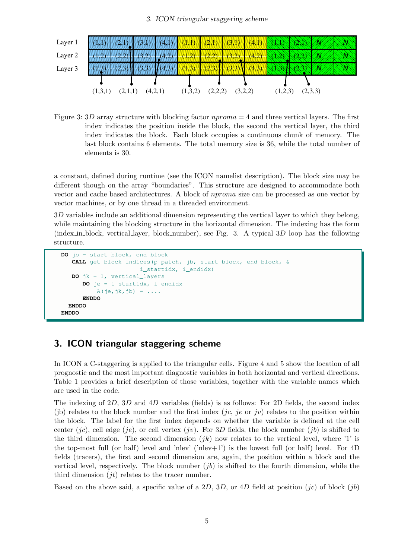#### 3. ICON triangular staggering scheme



Figure 3: 3D array structure with blocking factor  $nproma = 4$  and three vertical layers. The first index indicates the position inside the block, the second the vertical layer, the third index indicates the block. Each block occupies a continuous chunk of memory. The last block contains 6 elements. The total memory size is 36, while the total number of elements is 30.

a constant, defined during runtime (see the ICON namelist description). The block size may be different though on the array "boundaries". This structure are designed to accommodate both vector and cache based architectures. A block of nproma size can be processed as one vector by vector machines, or by one thread in a threaded environment.

3D variables include an additional dimension representing the vertical layer to which they belong, while maintaining the blocking structure in the horizontal dimension. The indexing has the form (index in block, vertical layer, block number), see Fig. 3. A typical  $3D$  loop has the following structure.

```
DO jb = start_block, end_block
  CALL get_block_indices(p_patch, jb, start_block, end_block, &
                      i_startidx, i_endidx)
  DO jk = 1, vertical_layers
      DO je = i_startidx, i_endidx
         A(je,jk,jb) = ...ENDDO
 ENDDO
ENDDO
```
#### 3. ICON triangular staggering scheme

In ICON a C-staggering is applied to the triangular cells. Figure 4 and 5 show the location of all prognostic and the most important diagnostic variables in both horizontal and vertical directions. Table 1 provides a brief description of those variables, together with the variable names which are used in the code.

The indexing of 2D, 3D and 4D variables (fields) is as follows: For 2D fields, the second index (ib) relates to the block number and the first index (*jc*, *je* or *jv*) relates to the position within the block. The label for the first index depends on whether the variable is defined at the cell center (*jc*), cell edge (*je*), or cell vertex (*jv*). For 3D fields, the block number (*jb*) is shifted to the third dimension. The second dimension  $(jk)$  now relates to the vertical level, where '1' is the top-most full (or half) level and 'nlev' ('nlev+1') is the lowest full (or half) level. For  $4D$ fields (tracers), the first and second dimension are, again, the position within a block and the vertical level, respectively. The block number  $(jb)$  is shifted to the fourth dimension, while the third dimension  $(jt)$  relates to the tracer number.

Based on the above said, a specific value of a 2D, 3D, or 4D field at position  $(ic)$  of block  $(jb)$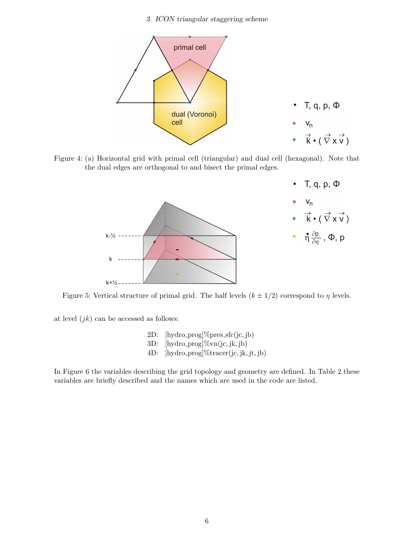3. ICON triangular staggering scheme



Figure 4: (a) Horizontal grid with primal cell (triangular) and dual cell (hexagonal). Note that the dual edges are orthogonal to and bisect the primal edges.



Figure 5: Vertical structure of primal grid. The half levels  $(k \pm 1/2)$  correspond to  $\eta$  levels.

at level  $(jk)$  can be accessed as follows:

- 2D:  $[hydro\_prog] \% pres\_sfc(ic, ib)$
- $3D:$  [hydro\_prog]% $vn(jc, jk, jb)$ ]
- 4D: [hydro prog]%tracer(jc, jk, jt, jb)

In Figure 6 the variables describing the grid topology and geometry are defined. In Table 2 these variables are briefly described and the names which are used in the code are listed.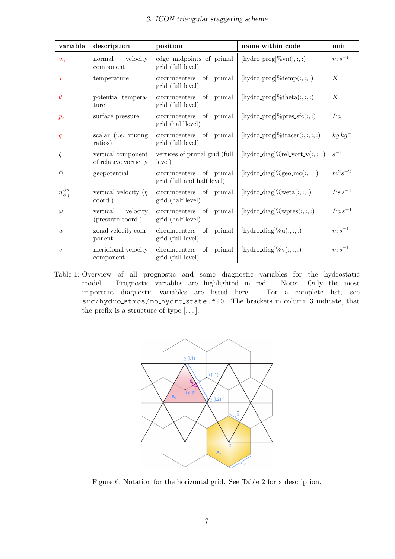| variable                                      | description                                 | position                                              | name within code                        | unit         |
|-----------------------------------------------|---------------------------------------------|-------------------------------------------------------|-----------------------------------------|--------------|
| $v_n$                                         | velocity<br>normal<br>component             | edge midpoints of primal<br>grid (full level)         | [hydro_prog] $\% \text{vn}(:,:,:)$      | $m s^{-1}$   |
| T                                             | temperature                                 | circumcenters of primal<br>grid (full level)          | [hydro_prog]% $temp(:, :, :)$           | К            |
| $\theta$                                      | potential tempera-<br>ture                  | circumcenters of primal<br>grid (full level)          | [hydro_prog]%theta $(:, :, :)$          | K            |
| $p_s$                                         | surface pressure                            | circumcenters of primal<br>grid (half level)          | [hydro_prog]%pres_sfc(:,:)              | Pa           |
| q                                             | scalar (i.e. mixing<br>ratios)              | circumcenters of primal<br>grid (full level)          | [hydro_prog] $\%$ tracer $(:, :, :, :)$ | $kg kg^{-1}$ |
| $\zeta$                                       | vertical component<br>of relative vorticity | vertices of primal grid (full<br>level)               | [hydro_diag]%rel_vort_v(:,:,:)          | $s^{-1}$     |
| Φ                                             | geopotential                                | circumcenters of primal<br>grid (full and half level) | [hydro_diag]%geo_mc(:,:,:)              | $m^2s^{-2}$  |
| $\dot{\eta} \frac{\partial p}{\partial \eta}$ | vertical velocity ( $\eta$<br>coord.)       | circumcenters of primal<br>grid (half level)          | [hydro_diag]\%\ta(:,:,:)                | $Ps s^{-1}$  |
| $\omega$                                      | velocity<br>vertical<br>(pressure coord.)   | circumcenters of primal<br>grid (half level)          | [hydro_diag]%wpres $(:,:,:)$            | $Pa s^{-1}$  |
| $\boldsymbol{u}$                              | zonal velocity com-<br>ponent               | circumcenters of primal<br>grid (full level)          | [hydro_diag] $\%u(:,:,:)$               | $m s^{-1}$   |
| $\boldsymbol{v}$                              | meridional velocity<br>component            | circumcenters of primal<br>grid (full level)          | [hydro_diag] $\%v(:, :, :)$             | $m s^{-1}$   |

Table 1: Overview of all prognostic and some diagnostic variables for the hydrostatic model. Prognostic variables are highlighted in red. Note: Only the most important diagnostic variables are listed here. For a complete list, see src/hydro atmos/mo hydro state.f90. The brackets in column 3 indicate, that the prefix is a structure of type  $[\dots]$ .



Figure 6: Notation for the horizontal grid. See Table 2 for a description.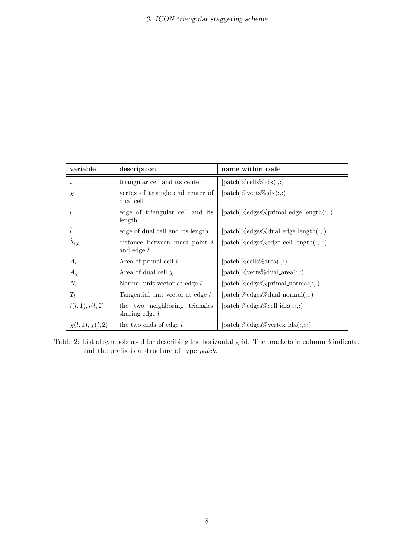| variable               | description                                       | name within code                                          |
|------------------------|---------------------------------------------------|-----------------------------------------------------------|
| $\dot{i}$              | triangular cell and its center                    | $[\text{patch}]\%$ cells $\%$ idx $(:,:)$                 |
| $\chi$                 | vertex of triangle and center of<br>dual cell     | $[\text{patch}]\% \text{verts}\% \text{idx}(:,:)$         |
| $\iota$                | edge of triangular cell and its<br>length         | $[\text{patch}]\%$ edges $\%$ primal_edge_length $(:,:)$  |
| î                      | edge of dual cell and its length                  | $[\text{patch}]\%$ edges%dual_edge_length $(:,:)$         |
| $\lambda_{i,l}$        | distance between mass point $i$<br>and edge $l$   | $[\text{patch}]\%$ edges $\%$ edge_cell_length $(:,,:,:)$ |
| $A_i$                  | Area of primal cell $i$                           | $[\text{patch}]\%$ cells $\%$ area $(:,:)$                |
| $A_\chi$               | Area of dual cell $\chi$                          | $[\text{patch}]\% \text{verts}\% \text{dual\_area}(:,:)$  |
| $N_l$                  | Normal unit vector at edge l                      | $[\text{patch}]\%$ edges $\%$ primal_normal $(:,:)$       |
| $T_l$                  | Tangential unit vector at edge l                  | $[\text{patch}]\%$ edges%dual_normal $(:,:)$              |
| i(l, 1), i(l, 2)       | the two neighboring triangles<br>sharing edge $l$ | $[patch]\%edges\%cell_idx(:,,:,:)$                        |
| $\chi(l,1), \chi(l,2)$ | the two ends of edge $l$                          | $[\text{patch}]\%$ edges $\%$ vertex_idx $(:, :, :)$      |

Table 2: List of symbols used for describing the horizontal grid. The brackets in column 3 indicate, that the prefix is a structure of type patch.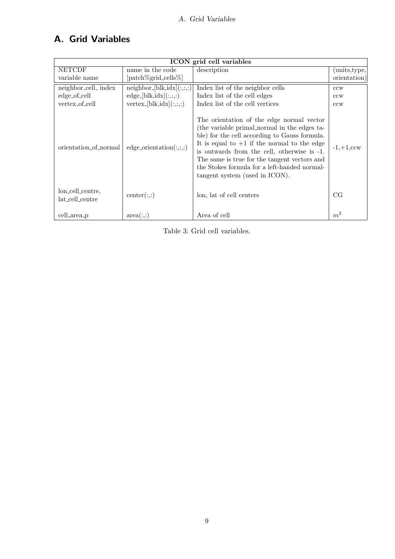## A. Grid Variables

| ICON grid cell variables            |                                        |                                                                                                                                                                                                                                                                                                                                                                              |                |
|-------------------------------------|----------------------------------------|------------------------------------------------------------------------------------------------------------------------------------------------------------------------------------------------------------------------------------------------------------------------------------------------------------------------------------------------------------------------------|----------------|
| <b>NETCDF</b><br>name in the code   |                                        | description                                                                                                                                                                                                                                                                                                                                                                  | units, type,   |
| variable name                       | [patch%grid_cells%]                    |                                                                                                                                                                                                                                                                                                                                                                              | orientation)   |
| neighbor_cell_index                 | neighbour,[blk,idx](:,,:,:)            | Index list of the neighbor cells                                                                                                                                                                                                                                                                                                                                             | ccw            |
| edge_of_cell                        | $edge-[blk, idx](:,:,:)$               | Index list of the cell edges                                                                                                                                                                                                                                                                                                                                                 | ccw            |
| vertex_of_cell                      | $vertex_{\text{-}}[blk, idx](:, :, :)$ | Index list of the cell vertices                                                                                                                                                                                                                                                                                                                                              | ccw            |
| orientation_of_normal               | $edge\_orientation(:,:,:)$             | The orientation of the edge normal vector<br>(the variable primal normal in the edges ta-<br>ble) for the cell according to Gauss formula.<br>It is equal to $+1$ if the normal to the edge<br>is outwards from the cell, otherwise is -1.<br>The same is true for the tangent vectors and<br>the Stokes formula for a left-handed normal-<br>tangent system (used in ICON). | $-1,+1,$ ccw   |
| lon_cell_centre,<br>lat_cell_centre | center(:,:)                            | lon, lat of cell centers                                                                                                                                                                                                                                                                                                                                                     | CG             |
| cell_area_p                         | area(:,:)                              | Area of cell                                                                                                                                                                                                                                                                                                                                                                 | m <sup>2</sup> |

Table 3: Grid cell variables.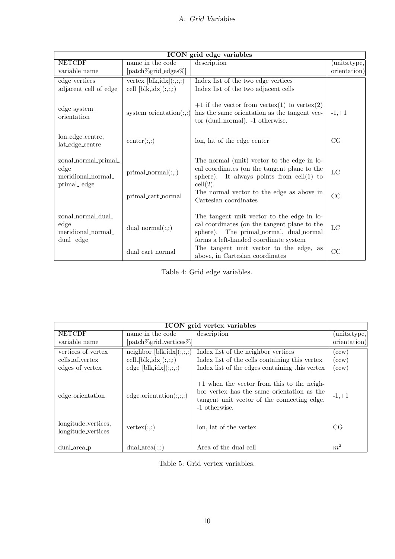| ICON grid edge variables                                          |                                             |                                                                                                                                                                                                                                              |                   |  |
|-------------------------------------------------------------------|---------------------------------------------|----------------------------------------------------------------------------------------------------------------------------------------------------------------------------------------------------------------------------------------------|-------------------|--|
| <b>NETCDF</b>                                                     | name in the code                            | description                                                                                                                                                                                                                                  | units, type,      |  |
| variable name                                                     | [patch%grid_edges%]                         |                                                                                                                                                                                                                                              | orientation)      |  |
| edge_vertices                                                     | $vertex-[blk, idx](:, :,:)$                 | Index list of the two edge vertices                                                                                                                                                                                                          |                   |  |
| adjacent_cell_of_edge                                             | $cell-[blk, idx](:,,:,:)$                   | Index list of the two adjacent cells                                                                                                                                                                                                         |                   |  |
| edge_system_<br>orientation                                       | system_orientation $(:,:)$                  | $+1$ if the vector from vertex(1) to vertex(2)<br>has the same orientation as the tangent vec-<br>tor (dual_normal). -1 otherwise.                                                                                                           | $-1, +1$          |  |
| lon_edge_centre,<br>lat_edge_centre                               | center(:,:)                                 | lon, lat of the edge center                                                                                                                                                                                                                  | CG                |  |
| zonal_normal_primal_<br>edge<br>meridional_normal_<br>primal_edge | $primal\_normal(:,:)$<br>primal_cart_normal | The normal (unit) vector to the edge in lo-<br>cal coordinates (on the tangent plane to the<br>sphere). It always points from $\text{cell}(1)$ to<br>$\text{cell}(2).$<br>The normal vector to the edge as above in<br>Cartesian coordinates | $_{\rm LC}$<br>CC |  |
| zonal_normal_dual_<br>edge<br>meridional normal<br>dual_edge      | $dual\_normal(:,:)$                         | The tangent unit vector to the edge in lo-<br>cal coordinates (on the tangent plane to the<br>sphere). The primal_normal, dual_normal<br>forms a left-handed coordinate system<br>The tangent unit vector to the edge, as                    | $_{\rm LC}$       |  |
|                                                                   | dual_cart_normal                            | above, in Cartesian coordinates                                                                                                                                                                                                              | CC                |  |

Table 4: Grid edge variables.

| ICON grid vertex variables                |                                                |                                                                                                                                                            |                        |
|-------------------------------------------|------------------------------------------------|------------------------------------------------------------------------------------------------------------------------------------------------------------|------------------------|
| <b>NETCDF</b>                             | name in the code                               | description                                                                                                                                                | $(\text{units, type},$ |
| variable name                             | [patch\%grid_vertices\%]                       |                                                                                                                                                            | orientation)           |
| vertices_of_vertex                        | $\overline{\text{neighbor}}$ [blk, idx](:,:,:) | Index list of the neighbor vertices                                                                                                                        | $(\mathrm{ccw})$       |
| cells of vertex                           | $\text{cell}[blk, idx](:,:,:)$                 | Index list of the cells containing this vertex                                                                                                             | $(\mathrm{ccw})$       |
| edges_of_vertex                           | $edge-[blk, idx](:,:,:)$                       | Index list of the edges containing this vertex                                                                                                             | $(\mathrm{ccw})$       |
| edge_orientation                          | $edge\_orientation(:,:,:)$                     | $+1$ when the vector from this to the neigh-<br>bor vertex has the same orientation as the<br>tangent unit vector of the connecting edge.<br>-1 otherwise. | $-1, +1$               |
| longitude_vertices,<br>longitude_vertices | vertex(:,:)                                    | lon, lat of the vertex                                                                                                                                     | CG                     |
| dual_area_p                               | $dual_area(:,:)$                               | Area of the dual cell                                                                                                                                      | m <sup>2</sup>         |

Table 5: Grid vertex variables.